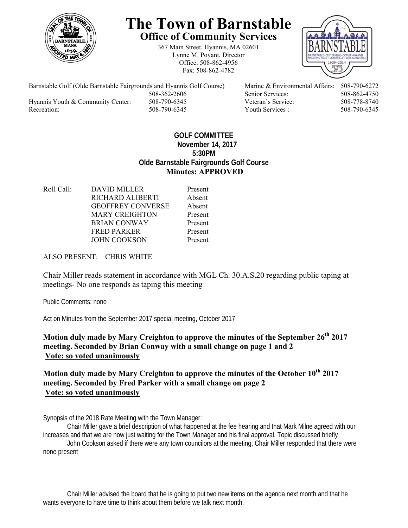

## **The Town of Barnstable Office of Community Services**

367 Main Street, Hyannis, MA 02601 Lynne M. Poyant, Director Office: 508-862-4956 Fax: 508-862-4782



Barnstable Golf (Olde Barnstable Fairgrounds and Hyannis Golf Course) Marine & Environmental Affairs: 508-790-6272 508-362-2606 Senior Services: 508-862-4750 Hyannis Youth & Community Center: 508-790-6345 Veteran's Service: 508-778-8740 Recreation: 508-790-6345 Youth Services : 508-790-6345 S08-790-6345

## **GOLF COMMITTEE November 14, 2017 5:30PM Olde Barnstable Fairgrounds Golf Course Minutes: APPROVED**

Roll Call: DAVID MILLER Present RICHARD ALIBERTI Absent GEOFFREY CONVERSE Absent MARY CREIGHTON Present BRIAN CONWAY Present FRED PARKER Present JOHN COOKSON Present

ALSO PRESENT: CHRIS WHITE

Chair Miller reads statement in accordance with MGL Ch. 30.A.S.20 regarding public taping at meetings- No one responds as taping this meeting

Public Comments: none

Act on Minutes from the September 2017 special meeting, October 2017

**Motion duly made by Mary Creighton to approve the minutes of the September 26th 2017 meeting. Seconded by Brian Conway with a small change on page 1 and 2 Vote: so voted unanimously** 

**Motion duly made by Mary Creighton to approve the minutes of the October 10th 2017 meeting. Seconded by Fred Parker with a small change on page 2 Vote: so voted unanimously** 

Synopsis of the 2018 Rate Meeting with the Town Manager:

Chair Miller gave a brief description of what happened at the fee hearing and that Mark Milne agreed with our increases and that we are now just waiting for the Town Manager and his final approval. Topic discussed briefly

John Cookson asked if there were any town councilors at the meeting, Chair Miller responded that there were none present

Chair Miller advised the board that he is going to put two new items on the agenda next month and that he wants everyone to have time to think about them before we talk next month.